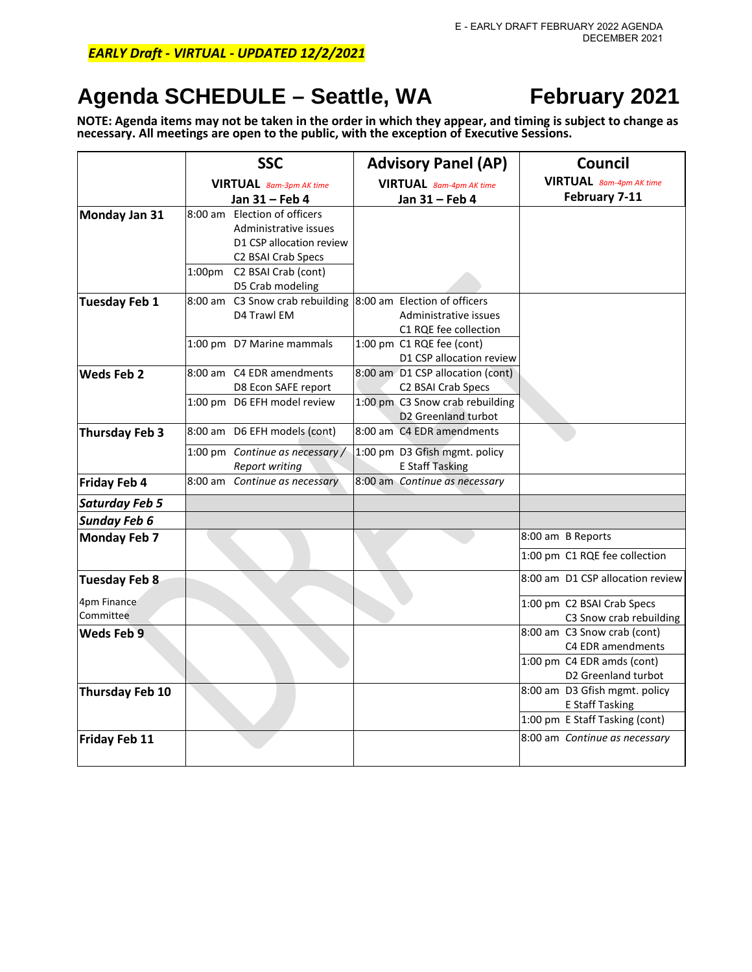## *EARLY Draft - VIRTUAL - UPDATED 12/2/2021*

# **Agenda SCHEDULE – Seattle, WA February 2021**

**NOTE: Agenda items may not be taken in the order in which they appear, and timing is subject to change as necessary. All meetings are open to the public, with the exception of Executive Sessions.**

|                          | <b>SSC</b>                                                                                                                                        | <b>Advisory Panel (AP)</b>                              | Council                                               |
|--------------------------|---------------------------------------------------------------------------------------------------------------------------------------------------|---------------------------------------------------------|-------------------------------------------------------|
|                          | <b>VIRTUAL</b> 8am-3pm AK time                                                                                                                    | <b>VIRTUAL</b> 8am-4pm AK time                          | <b>VIRTUAL</b> 8am-4pm AK time                        |
|                          | Jan 31 - Feb 4                                                                                                                                    | Jan 31 - Feb 4                                          | February 7-11                                         |
| Monday Jan 31            | 8:00 am Election of officers<br>Administrative issues<br>D1 CSP allocation review<br>C <sub>2</sub> BSAI Crab Specs<br>1:00pm C2 BSAI Crab (cont) |                                                         |                                                       |
|                          | D5 Crab modeling                                                                                                                                  |                                                         |                                                       |
| <b>Tuesday Feb 1</b>     | 8:00 am C3 Snow crab rebuilding 8:00 am Election of officers<br>D4 Trawl EM                                                                       | Administrative issues<br>C1 RQE fee collection          |                                                       |
|                          | 1:00 pm D7 Marine mammals                                                                                                                         | 1:00 pm C1 RQE fee (cont)<br>D1 CSP allocation review   |                                                       |
| Weds Feb 2               | 8:00 am C4 EDR amendments<br>D8 Econ SAFE report                                                                                                  | 8:00 am D1 CSP allocation (cont)<br>C2 BSAI Crab Specs  |                                                       |
|                          | 1:00 pm D6 EFH model review                                                                                                                       | 1:00 pm C3 Snow crab rebuilding<br>D2 Greenland turbot  |                                                       |
| <b>Thursday Feb 3</b>    | 8:00 am D6 EFH models (cont)                                                                                                                      | 8:00 am C4 EDR amendments                               |                                                       |
|                          | 1:00 pm Continue as necessary /<br>Report writing                                                                                                 | 1:00 pm D3 Gfish mgmt. policy<br><b>E Staff Tasking</b> |                                                       |
| <b>Friday Feb 4</b>      | 8:00 am Continue as necessary                                                                                                                     | 8:00 am Continue as necessary                           |                                                       |
| <b>Saturday Feb 5</b>    |                                                                                                                                                   |                                                         |                                                       |
| <b>Sunday Feb 6</b>      |                                                                                                                                                   |                                                         |                                                       |
| <b>Monday Feb 7</b>      |                                                                                                                                                   |                                                         | 8:00 am B Reports                                     |
|                          |                                                                                                                                                   |                                                         | 1:00 pm C1 RQE fee collection                         |
| <b>Tuesday Feb 8</b>     |                                                                                                                                                   |                                                         | 8:00 am D1 CSP allocation review                      |
| 4pm Finance<br>Committee |                                                                                                                                                   |                                                         | 1:00 pm C2 BSAI Crab Specs<br>C3 Snow crab rebuilding |
| Weds Feb 9               |                                                                                                                                                   |                                                         | 8:00 am C3 Snow crab (cont)<br>C4 EDR amendments      |
|                          |                                                                                                                                                   |                                                         | 1:00 pm C4 EDR amds (cont)<br>D2 Greenland turbot     |
| <b>Thursday Feb 10</b>   |                                                                                                                                                   |                                                         | 8:00 am D3 Gfish mgmt. policy<br>E Staff Tasking      |
|                          |                                                                                                                                                   |                                                         | 1:00 pm E Staff Tasking (cont)                        |
| <b>Friday Feb 11</b>     |                                                                                                                                                   |                                                         | 8:00 am Continue as necessary                         |